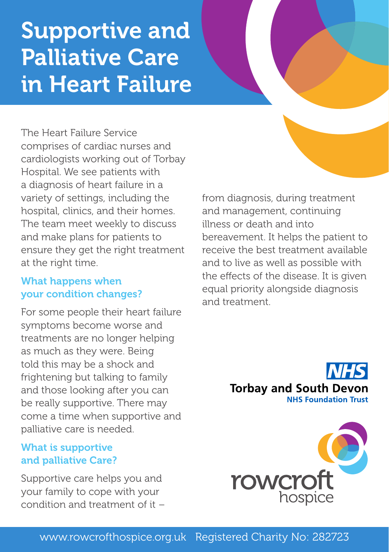# Supportive and Palliative Care in Heart Failure

The Heart Failure Service comprises of cardiac nurses and cardiologists working out of Torbay Hospital. We see patients with a diagnosis of heart failure in a variety of settings, including the hospital, clinics, and their homes. The team meet weekly to discuss and make plans for patients to ensure they get the right treatment at the right time.

### What happens when your condition changes?

For some people their heart failure symptoms become worse and treatments are no longer helping as much as they were. Being told this may be a shock and frightening but talking to family and those looking after you can be really supportive. There may come a time when supportive and palliative care is needed.

## What is supportive and palliative Care?

Supportive care helps you and your family to cope with your condition and treatment of it – from diagnosis, during treatment and management, continuing illness or death and into bereavement. It helps the patient to receive the best treatment available and to live as well as possible with the effects of the disease. It is given equal priority alongside diagnosis and treatment.



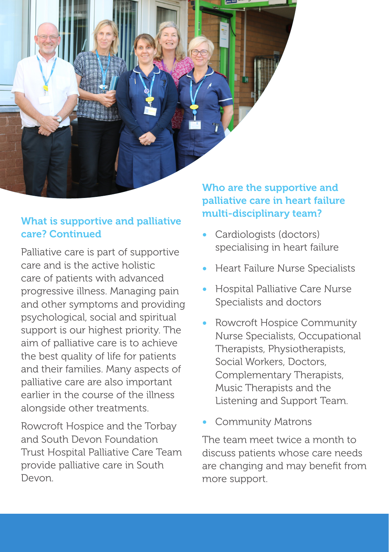

# What is supportive and palliative care? Continued

Palliative care is part of supportive care and is the active holistic care of patients with advanced progressive illness. Managing pain and other symptoms and providing psychological, social and spiritual support is our highest priority. The aim of palliative care is to achieve the best quality of life for patients and their families. Many aspects of palliative care are also important earlier in the course of the illness alongside other treatments.

Rowcroft Hospice and the Torbay and South Devon Foundation Trust Hospital Palliative Care Team provide palliative care in South Devon.

## Who are the supportive and palliative care in heart failure multi-disciplinary team?

- Cardiologists (doctors) specialising in heart failure
- Heart Failure Nurse Specialists
- Hospital Palliative Care Nurse Specialists and doctors
- Rowcroft Hospice Community Nurse Specialists, Occupational Therapists, Physiotherapists, Social Workers, Doctors, Complementary Therapists, Music Therapists and the Listening and Support Team.
- Community Matrons

The team meet twice a month to discuss patients whose care needs are changing and may benefit from more support.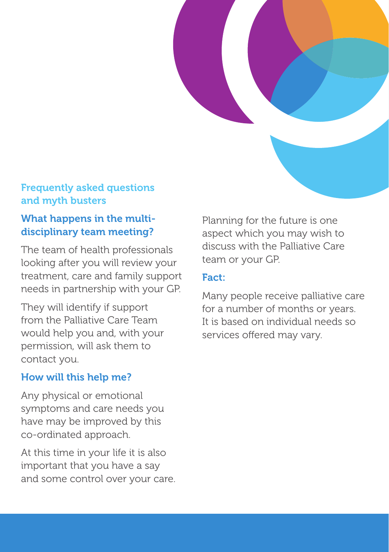

## Frequently asked questions and myth busters

## What happens in the multidisciplinary team meeting?

The team of health professionals looking after you will review your treatment, care and family support needs in partnership with your GP.

They will identify if support from the Palliative Care Team would help you and, with your permission, will ask them to contact you.

## How will this help me?

Any physical or emotional symptoms and care needs you have may be improved by this co-ordinated approach.

At this time in your life it is also important that you have a say and some control over your care. Planning for the future is one aspect which you may wish to discuss with the Palliative Care team or your GP.

### Fact:

Many people receive palliative care for a number of months or years. It is based on individual needs so services offered may vary.